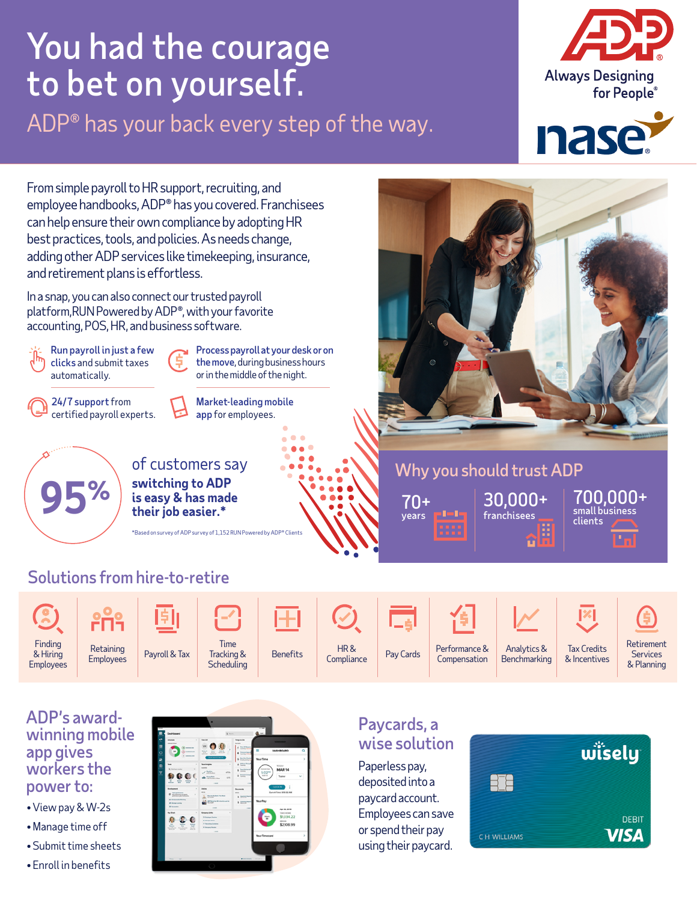# You had the courage to bet on yourself.

ADP® has your back every step of the way.





From simple payroll to HR support, recruiting, and employee handbooks, ADP® has you covered. Franchisees can help ensure their own compliance by adopting HR best practices, tools, and policies. As needs change, adding other ADP services like timekeeping, insurance, and retirement plans is effortless.

In a snap, you can also connect our trusted payroll platform,RUN Powered by ADP®, with your favorite accounting, POS, HR, and business software.



#### ADP's awardwinning mobile app gives workers the power to:

- View pay & W-2s
- Manage time off
- Submit time sheets
- Enroll in benefits



# Paycards, a wise solution

Paperless pay, deposited into a paycard account. Employees can save or spend their pay using their paycard.